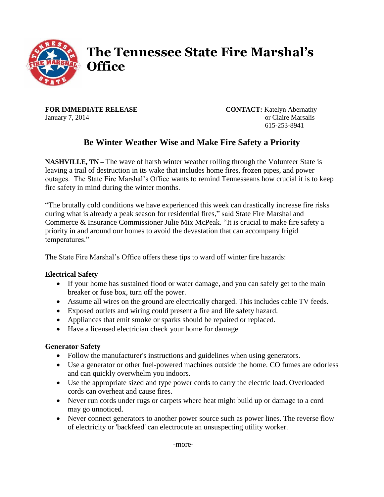

# **The Tennessee State Fire Marshal's Office**

**FOR IMMEDIATE RELEASE CONTACT:** Katelyn Abernathy January 7, 2014 or Claire Marsalis

615-253-8941

## **Be Winter Weather Wise and Make Fire Safety a Priority**

**NASHVILLE, TN** – The wave of harsh winter weather rolling through the Volunteer State is leaving a trail of destruction in its wake that includes home fires, frozen pipes, and power outages. The State Fire Marshal's Office wants to remind Tennesseans how crucial it is to keep fire safety in mind during the winter months.

"The brutally cold conditions we have experienced this week can drastically increase fire risks during what is already a peak season for residential fires," said State Fire Marshal and Commerce & Insurance Commissioner Julie Mix McPeak. "It is crucial to make fire safety a priority in and around our homes to avoid the devastation that can accompany frigid temperatures."

The State Fire Marshal's Office offers these tips to ward off winter fire hazards:

#### **Electrical Safety**

- If your home has sustained flood or water damage, and you can safely get to the main breaker or fuse box, turn off the power.
- Assume all wires on the ground are electrically charged. This includes cable TV feeds.
- Exposed outlets and wiring could present a fire and life safety hazard.
- Appliances that emit smoke or sparks should be repaired or replaced.
- Have a licensed electrician check your home for damage.

#### **Generator Safety**

- Follow the manufacturer's instructions and guidelines when using generators.
- Use a generator or other fuel-powered machines outside the home. CO fumes are odorless and can quickly overwhelm you indoors.
- Use the appropriate sized and type power cords to carry the electric load. Overloaded cords can overheat and cause fires.
- Never run cords under rugs or carpets where heat might build up or damage to a cord may go unnoticed.
- Never connect generators to another power source such as power lines. The reverse flow of electricity or 'backfeed' can electrocute an unsuspecting utility worker.